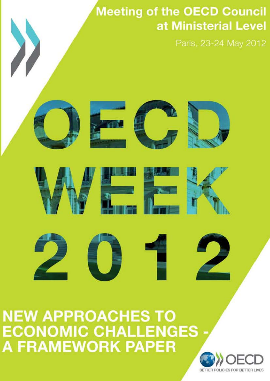# **Meeting of the OECD Council** at Ministerial Level

Paris, 23-24 May 2012





**NEW APPROACHES TO ECONOMIC CHALLENGES A FRAMEWORK PAPER** 

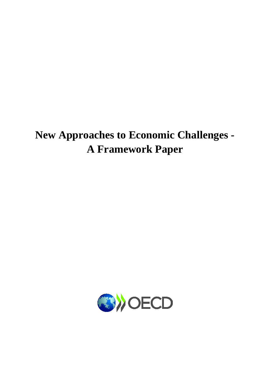## **New Approaches to Economic Challenges - A Framework Paper**

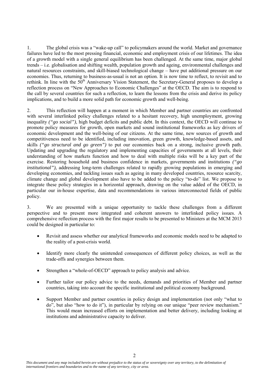1. The global crisis was a "wake-up call" to policymakers around the world. Market and governance failures have led to the most pressing financial, economic and employment crisis of our lifetimes. The idea of a growth model with a single general equilibrium has been challenged. At the same time, major global trends – i.e. globalisation and shifting wealth, population growth and ageing, environmental challenges and natural resources constraints, and skill-biased technological change – have put additional pressure on our economies. Thus, returning to business-as-usual is not an option. It is now time to reflect, to revisit and to rethink. In line with the 50<sup>th</sup> Anniversary Vision Statement, the Secretary-General proposes to develop a reflection process on "New Approaches to Economic Challenges" at the OECD. The aim is to respond to the call by several countries for such a reflection, to learn the lessons from the crisis and derive its policy implications, and to build a more solid path for economic growth and well-being.

2. This reflection will happen at a moment in which Member and partner countries are confronted with several interlinked policy challenges related to a hesitant recovery, high unemployment, growing inequality *("go social")*, high budget deficits and public debt. In this context, the OECD will continue to promote policy measures for growth, open markets and sound institutional frameworks as key drivers of economic development and the well-being of our citizens. At the same time, new sources of growth and competitiveness need to be identified, including innovation, green growth, knowledge-based assets, and skills *("go structural and go green")* to put our economies back on a strong, inclusive growth path. Updating and upgrading the regulatory and implementing capacities of governments at all levels, their understanding of how markets function and how to deal with multiple risks will be a key part of the exercise. Restoring household and business confidence in markets, governments and institutions *("go institutional"),* addressing long-term challenges related to rapidly growing populations in emerging and developing economies, and tackling issues such as ageing in many developed countries, resource scarcity, climate change and global development also have to be added to the policy "to-do" list. We propose to integrate these policy strategies in a horizontal approach, drawing on the value added of the OECD, in particular our in-house expertise, data and recommendations in various interconnected fields of public policy.

3. We are presented with a unique opportunity to tackle these challenges from a different perspective and to present more integrated and coherent answers to interlinked policy issues. A comprehensive reflection process with the first major results to be presented to Ministers at the MCM 2013 could be designed in particular to:

- Revisit and assess whether our analytical frameworks and economic models need to be adapted to the reality of a post-crisis world.
- Identify more clearly the unintended consequences of different policy choices, as well as the trade-offs and synergies between them.
- Strengthen a "whole-of-OECD" approach to policy analysis and advice.
- Further tailor our policy advice to the needs, demands and priorities of Member and partner countries, taking into account the specific institutional and political economy background.
- Support Member and partner countries in policy design and implementation (not only "what to do", but also "how to do it"), in particular by relying on our unique "peer review mechanism." This would mean increased efforts on implementation and better delivery, including looking at institutions and administrative capacity to deliver.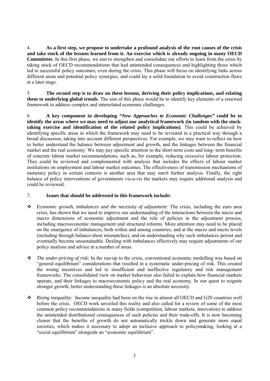4. **As a first step, we propose to undertake a profound analysis of the root causes of the crisis and take stock of the lessons learned from it. An exercise which is already ongoing in many OECD Committees**. In this first phase, we aim to strengthen and consolidate our efforts to learn from the crisis by taking stock of OECD recommendations that had unintended consequences and highlighting those which led to successful policy outcomes, even during the crisis. This phase will focus on identifying links across different areas and potential policy synergies, and could lay a solid foundation to avoid construction flaws at a later stage.

5. **The second step is to draw on these lessons, deriving their policy implications, and relating them to underlying global trends**. The aim of this phase would be to identify key elements of a renewed framework to address complex and interrelated economic challenges.

6. **A key component in developing** *"New Approaches to Economic Challenges"* **could be to identify the areas where we may need to adjust our analytical framework (in tandem with the stocktaking exercise and identification of the related policy implications)**. This could be achieved by identifying specific areas in which the framework may need to be revisited in a practical way through a broad discussion, taking into account different perspectives. For example, we may want to reflect on how to better understand the balance between adjustment and growth, and the linkages between the financial market and the real economy. We may pay specific attention to the short-term costs and long- term benefits of concrete labour market recommendations, such as, for example, reducing excessive labour protection. They could be reviewed and complemented with analysis that includes the effects of labour market institutions on employment and labour market outcomes. The effectiveness of transmission mechanisms of monetary policy in certain contexts is another area that may merit further analysis. Finally, the right balance of policy interventions of governments vis-a-vis the markets may require additional analysis and could be reviewed.

#### 7. **Issues that should be addressed in this framework include:**

- *Economic growth, imbalances and the necessity of adjustment:* The crisis, including the euro area crisis, has shown that we need to improve our understanding of the interactions between the micro and macro dimensions of economic adjustment and the role of policies in the adjustment process, including macroeconomic management and structural reforms. More attention may need to be placed on the emergence of imbalances, both within and among countries, and at the macro and micro levels (including through balance-sheet mismatches), and on understanding why such imbalances persist and eventually become unsustainable. Dealing with imbalances effectively may require adjustments of our policy analysis and advice in a number of areas.
- *The under-pricing of risk:* In the run-up to the crisis, conventional economic modelling was based on "general equilibrium" considerations that resulted in a systematic under-pricing of risk. This created the wrong incentives and led to insufficient and ineffective regulatory and risk management frameworks. The consolidated view on market behaviour also failed to explain how financial markets operate, and their linkages to macroeconomic policy and the real economy. In our quest to reignite stronger growth, better understanding these linkages is an absolute necessity.
- *Rising inequality:* Income inequality had been on the rise in almost all OECD and G20 countries well before the crisis. OECD work unveiled this reality and also called for a review of some of the most common policy recommendations in many fields (competition, labour markets, innovation) to address the unintended distributional consequences of such policies and their trade-offs. It is now becoming clearer that the benefits of growth do not automatically trickle down and generate more equal societies, which makes it necessary to adopt an inclusive approach to policymaking, looking at a "social equilibrium" alongside an "economic equilibrium".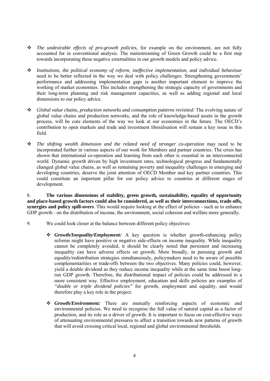- *The undesirable effects of pro-growth policies*, for example on the environment, are not fully accounted for in conventional analysis. The mainstreaming of Green Growth could be a first step towards incorporating these negative externalities in our growth models and policy advice.
- *Institutions, the political economy of reform, ineffective implementation, and individual behaviour* need to be better reflected in the way we deal with policy challenges. Strengthening governments' performance and addressing implementation gaps is another important element to improve the working of market economies. This includes strengthening the strategic capacity of governments and their long-term planning and risk management capacities, as well as adding regional and local dimensions to our policy advice.
- *Global value chains, production networks and consumption patterns revisited:* The evolving nature of global value chains and production networks, and the role of knowledge-based assets in the growth process, will be core elements of the way we look at our economies in the future. The OECD's contribution to open markets and trade and investment liberalisation will remain a key issue in this field.
- *The shifting wealth dimension and the related need of stronger co-operation* may need to be incorporated further in various aspects of our work for Members and partner countries. The crisis has shown that international co-operation and learning from each other is essential in an interconnected world. Dynamic growth driven by high investment rates, technological progress and fundamentally changed global value chains, as well as remaining poverty and inequality challenges in emerging and developing countries, deserve the joint attention of OECD Member and key partner countries. This could constitute an important pillar for our policy advice to countries at different stages of development.

8. **The various dimensions of stability, green growth, sustainability, equality of opportunity and place-based growth factors could also be considered, as well as their interconnections, trade-offs, synergies and policy spill-overs**. This would require looking at the effect of policies - such as to enhance GDP growth - on the distribution of income, the environment, social cohesion and welfare more generally.

- 9. We could look closer at the balance between different policy objectives:
	- *Growth/Inequality/Employment:* A key question is whether growth-enhancing policy reforms might have positive or negative side-effects on income inequality. While inequality cannot be completely avoided, it should be clearly noted that persistent and increasing inequality can have adverse effects on growth. More broadly, in pursuing growth and equality/redistribution strategies simultaneously, policymakers need to be aware of possible complementarities or trade-offs between the two objectives. Many policies could, however, yield a double dividend as they reduce income inequality while at the same time boost longrun GDP growth. Therefore, the distributional impact of policies could be addressed in a more consistent way. Effective employment, education and skills policies are examples of *"double or triple dividend policies"* for growth, employment and equality, and would therefore play a key role in the project.
	- *Growth/Environment:* There are mutually reinforcing aspects of economic and environmental policies. We need to recognise the full value of natural capital as a factor of production, and its role as a driver of growth. It is important to focus on cost-effective ways of attenuating environmental pressures to affect a transition towards new patterns of growth that will avoid crossing critical local, regional and global environmental thresholds.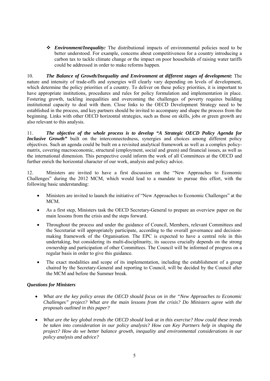*Environment/Inequality:* The distributional impacts of environmental policies need to be better understood. For example, concerns about competitiveness for a country introducing a carbon tax to tackle climate change or the impact on poor households of raising water tariffs could be addressed in order to make reforms happen.

10. *The Balance of Growth/Inequality and Environment at different stages of development:* The nature and intensity of trade-offs and synergies will clearly vary depending on levels of development, which determine the policy priorities of a country. To deliver on these policy priorities, it is important to have appropriate institutions, procedures and rules for policy formulation and implementation in place. Fostering growth, tackling inequalities and overcoming the challenges of poverty requires building institutional capacity to deal with them. Close links to the OECD Development Strategy need to be established in the process, and key partners should be invited to accompany and shape the process from the beginning. Links with other OECD horizontal strategies, such as those on skills, jobs or green growth are also relevant to this analysis.

11. *The objective of the whole process is to develop "A Strategic OECD Policy Agenda for Inclusive Growth*" built on the interconnectedness, synergies and choices among different policy objectives. Such an agenda could be built on a revisited analytical framework as well as a complex policymatrix, covering macroeconomic, structural (employment, social and green) and financial issues, as well as the international dimension. This perspective could inform the work of all Committees at the OECD and further enrich the horizontal character of our work, analysis and policy advice.

12. Ministers are invited to have a first discussion on the "New Approaches to Economic Challenges" during the 2012 MCM, which would lead to a mandate to pursue this effort, with the following basic understanding:

- Ministers are invited to launch the initiative of "New Approaches to Economic Challenges" at the MCM.
- As a first step, Ministers task the OECD Secretary-General to prepare an overview paper on the main lessons from the crisis and the steps forward.
- Throughout the process and under the guidance of Council, Members, relevant Committees and the Secretariat will appropriately participate, according to the overall governance and decisionmaking framework of the Organisation. The EPC is expected to have a central role in this undertaking, but considering its multi-disciplinarity, its success crucially depends on the strong ownership and participation of other Committees. The Council will be informed of progress on a regular basis in order to give this guidance.
- The exact modalities and scope of its implementation, including the establishment of a group chaired by the Secretary-General and reporting to Council, will be decided by the Council after the MCM and before the Summer break.

### *Questions for Ministers*

- *What are the key policy areas the OECD should focus on in the "New Approaches to Economic Challenges" project? What are the main lessons from the crisis? Do Ministers agree with the proposals outlined in this paper?*
- *What are the key global trends the OECD should look at in this exercise? How could these trends be taken into consideration in our policy analysis? How can Key Partners help in shaping the project? How do we better balance growth, inequality and environmental considerations in our policy analysis and advice?*